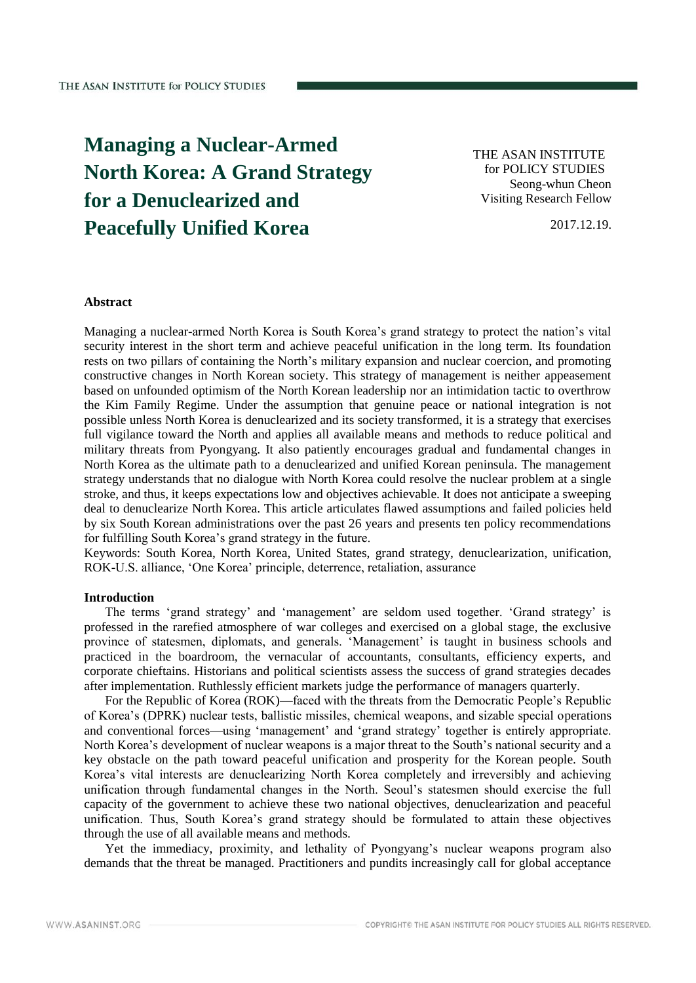# **Managing a Nuclear-Armed North Korea: A Grand Strategy for a Denuclearized and Peacefully Unified Korea**

THE ASAN INSTITUTE for POLICY STUDIES Seong-whun Cheon Visiting Research Fellow

2017.12.19.

## **Abstract**

Managing a nuclear-armed North Korea is South Korea's grand strategy to protect the nation's vital security interest in the short term and achieve peaceful unification in the long term. Its foundation rests on two pillars of containing the North's military expansion and nuclear coercion, and promoting constructive changes in North Korean society. This strategy of management is neither appeasement based on unfounded optimism of the North Korean leadership nor an intimidation tactic to overthrow the Kim Family Regime. Under the assumption that genuine peace or national integration is not possible unless North Korea is denuclearized and its society transformed, it is a strategy that exercises full vigilance toward the North and applies all available means and methods to reduce political and military threats from Pyongyang. It also patiently encourages gradual and fundamental changes in North Korea as the ultimate path to a denuclearized and unified Korean peninsula. The management strategy understands that no dialogue with North Korea could resolve the nuclear problem at a single stroke, and thus, it keeps expectations low and objectives achievable. It does not anticipate a sweeping deal to denuclearize North Korea. This article articulates flawed assumptions and failed policies held by six South Korean administrations over the past 26 years and presents ten policy recommendations for fulfilling South Korea's grand strategy in the future.

Keywords: South Korea, North Korea, United States, grand strategy, denuclearization, unification, ROK-U.S. alliance, 'One Korea' principle, deterrence, retaliation, assurance

#### **Introduction**

The terms 'grand strategy' and 'management' are seldom used together. 'Grand strategy' is professed in the rarefied atmosphere of war colleges and exercised on a global stage, the exclusive province of statesmen, diplomats, and generals. 'Management' is taught in business schools and practiced in the boardroom, the vernacular of accountants, consultants, efficiency experts, and corporate chieftains. Historians and political scientists assess the success of grand strategies decades after implementation. Ruthlessly efficient markets judge the performance of managers quarterly.

For the Republic of Korea (ROK)—faced with the threats from the Democratic People's Republic of Korea's (DPRK) nuclear tests, ballistic missiles, chemical weapons, and sizable special operations and conventional forces—using 'management' and 'grand strategy' together is entirely appropriate. North Korea's development of nuclear weapons is a major threat to the South's national security and a key obstacle on the path toward peaceful unification and prosperity for the Korean people. South Korea's vital interests are denuclearizing North Korea completely and irreversibly and achieving unification through fundamental changes in the North. Seoul's statesmen should exercise the full capacity of the government to achieve these two national objectives, denuclearization and peaceful unification. Thus, South Korea's grand strategy should be formulated to attain these objectives through the use of all available means and methods.

Yet the immediacy, proximity, and lethality of Pyongyang's nuclear weapons program also demands that the threat be managed. Practitioners and pundits increasingly call for global acceptance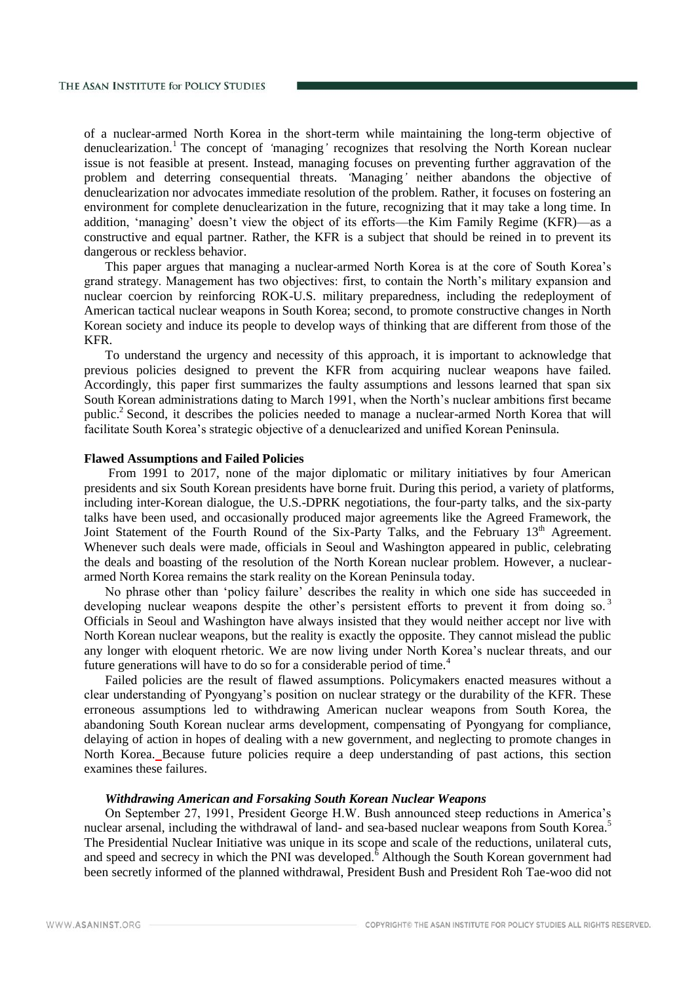of a nuclear-armed North Korea in the short-term while maintaining the long-term objective of denuclearization.<sup>1</sup> The concept of *'managing'* recognizes that resolving the North Korean nuclear issue is not feasible at present. Instead, managing focuses on preventing further aggravation of the problem and deterring consequential threats. *'*Managing*'* neither abandons the objective of denuclearization nor advocates immediate resolution of the problem. Rather, it focuses on fostering an environment for complete denuclearization in the future, recognizing that it may take a long time. In addition, 'managing' doesn't view the object of its efforts—the Kim Family Regime (KFR)—as a constructive and equal partner. Rather, the KFR is a subject that should be reined in to prevent its dangerous or reckless behavior.

This paper argues that managing a nuclear-armed North Korea is at the core of South Korea's grand strategy. Management has two objectives: first, to contain the North's military expansion and nuclear coercion by reinforcing ROK-U.S. military preparedness, including the redeployment of American tactical nuclear weapons in South Korea; second, to promote constructive changes in North Korean society and induce its people to develop ways of thinking that are different from those of the KFR.

To understand the urgency and necessity of this approach, it is important to acknowledge that previous policies designed to prevent the KFR from acquiring nuclear weapons have failed. Accordingly, this paper first summarizes the faulty assumptions and lessons learned that span six South Korean administrations dating to March 1991, when the North's nuclear ambitions first became public.<sup>2</sup> Second, it describes the policies needed to manage a nuclear-armed North Korea that will facilitate South Korea's strategic objective of a denuclearized and unified Korean Peninsula.

## **Flawed Assumptions and Failed Policies**

From 1991 to 2017, none of the major diplomatic or military initiatives by four American presidents and six South Korean presidents have borne fruit. During this period, a variety of platforms, including inter-Korean dialogue, the U.S.-DPRK negotiations, the four-party talks, and the six-party talks have been used, and occasionally produced major agreements like the Agreed Framework, the Joint Statement of the Fourth Round of the Six-Party Talks, and the February 13<sup>th</sup> Agreement. Whenever such deals were made, officials in Seoul and Washington appeared in public, celebrating the deals and boasting of the resolution of the North Korean nuclear problem. However, a nucleararmed North Korea remains the stark reality on the Korean Peninsula today.

No phrase other than 'policy failure' describes the reality in which one side has succeeded in developing nuclear weapons despite the other's persistent efforts to prevent it from doing so.<sup>3</sup> Officials in Seoul and Washington have always insisted that they would neither accept nor live with North Korean nuclear weapons, but the reality is exactly the opposite. They cannot mislead the public any longer with eloquent rhetoric. We are now living under North Korea's nuclear threats, and our future generations will have to do so for a considerable period of time.<sup>4</sup>

Failed policies are the result of flawed assumptions. Policymakers enacted measures without a clear understanding of Pyongyang's position on nuclear strategy or the durability of the KFR. These erroneous assumptions led to withdrawing American nuclear weapons from South Korea, the abandoning South Korean nuclear arms development, compensating of Pyongyang for compliance, delaying of action in hopes of dealing with a new government, and neglecting to promote changes in North Korea. Because future policies require a deep understanding of past actions, this section examines these failures.

## *Withdrawing American and Forsaking South Korean Nuclear Weapons*

On September 27, 1991, President George H.W. Bush announced steep reductions in America's nuclear arsenal, including the withdrawal of land- and sea-based nuclear weapons from South Korea.<sup>5</sup> The Presidential Nuclear Initiative was unique in its scope and scale of the reductions, unilateral cuts, and speed and secrecy in which the PNI was developed.<sup>6</sup> Although the South Korean government had been secretly informed of the planned withdrawal, President Bush and President Roh Tae-woo did not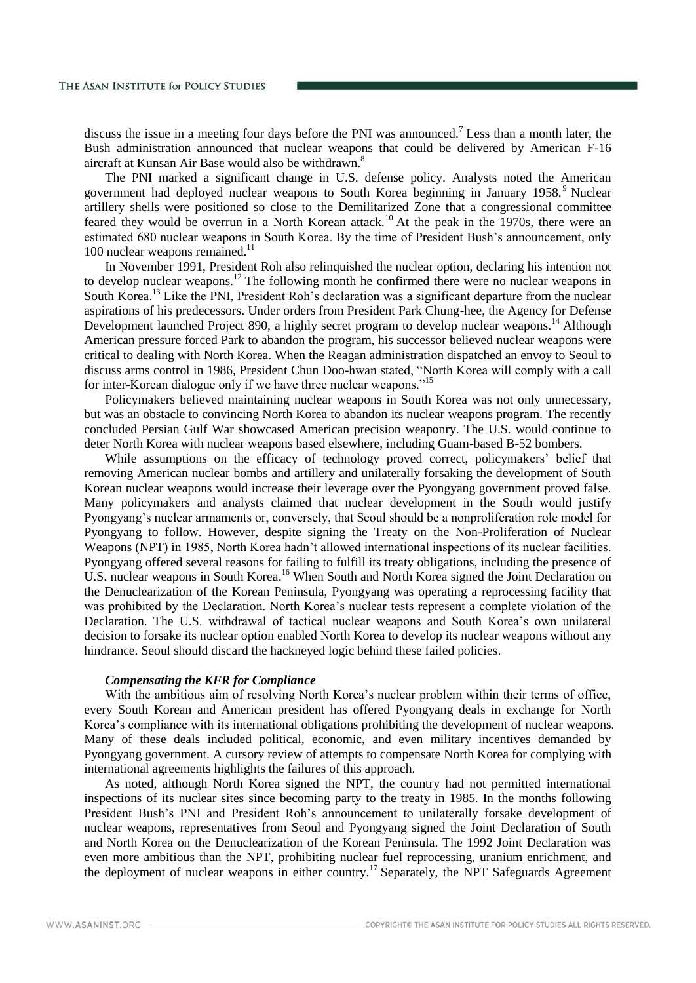discuss the issue in a meeting four days before the PNI was announced.<sup>7</sup> Less than a month later, the Bush administration announced that nuclear weapons that could be delivered by American F-16 aircraft at Kunsan Air Base would also be withdrawn.<sup>8</sup>

The PNI marked a significant change in U.S. defense policy. Analysts noted the American government had deployed nuclear weapons to South Korea beginning in January 1958. <sup>9</sup> Nuclear artillery shells were positioned so close to the Demilitarized Zone that a congressional committee feared they would be overrun in a North Korean attack.<sup>10</sup> At the peak in the 1970s, there were an estimated 680 nuclear weapons in South Korea. By the time of President Bush's announcement, only 100 nuclear weapons remained. $^{11}$ 

In November 1991, President Roh also relinquished the nuclear option, declaring his intention not to develop nuclear weapons.<sup>12</sup> The following month he confirmed there were no nuclear weapons in South Korea.<sup>13</sup> Like the PNI, President Roh's declaration was a significant departure from the nuclear aspirations of his predecessors. Under orders from President Park Chung-hee, the Agency for Defense Development launched Project 890, a highly secret program to develop nuclear weapons.<sup>14</sup> Although American pressure forced Park to abandon the program, his successor believed nuclear weapons were critical to dealing with North Korea. When the Reagan administration dispatched an envoy to Seoul to discuss arms control in 1986, President Chun Doo-hwan stated, "North Korea will comply with a call for inter-Korean dialogue only if we have three nuclear weapons."<sup>15</sup>

Policymakers believed maintaining nuclear weapons in South Korea was not only unnecessary, but was an obstacle to convincing North Korea to abandon its nuclear weapons program. The recently concluded Persian Gulf War showcased American precision weaponry. The U.S. would continue to deter North Korea with nuclear weapons based elsewhere, including Guam-based B-52 bombers.

While assumptions on the efficacy of technology proved correct, policymakers' belief that removing American nuclear bombs and artillery and unilaterally forsaking the development of South Korean nuclear weapons would increase their leverage over the Pyongyang government proved false. Many policymakers and analysts claimed that nuclear development in the South would justify Pyongyang's nuclear armaments or, conversely, that Seoul should be a nonproliferation role model for Pyongyang to follow. However, despite signing the Treaty on the Non-Proliferation of Nuclear Weapons (NPT) in 1985, North Korea hadn't allowed international inspections of its nuclear facilities. Pyongyang offered several reasons for failing to fulfill its treaty obligations, including the presence of U.S. nuclear weapons in South Korea.<sup>16</sup> When South and North Korea signed the Joint Declaration on the Denuclearization of the Korean Peninsula, Pyongyang was operating a reprocessing facility that was prohibited by the Declaration. North Korea's nuclear tests represent a complete violation of the Declaration. The U.S. withdrawal of tactical nuclear weapons and South Korea's own unilateral decision to forsake its nuclear option enabled North Korea to develop its nuclear weapons without any hindrance. Seoul should discard the hackneyed logic behind these failed policies.

#### *Compensating the KFR for Compliance*

With the ambitious aim of resolving North Korea's nuclear problem within their terms of office, every South Korean and American president has offered Pyongyang deals in exchange for North Korea's compliance with its international obligations prohibiting the development of nuclear weapons. Many of these deals included political, economic, and even military incentives demanded by Pyongyang government. A cursory review of attempts to compensate North Korea for complying with international agreements highlights the failures of this approach.

As noted, although North Korea signed the NPT, the country had not permitted international inspections of its nuclear sites since becoming party to the treaty in 1985. In the months following President Bush's PNI and President Roh's announcement to unilaterally forsake development of nuclear weapons, representatives from Seoul and Pyongyang signed the Joint Declaration of South and North Korea on the Denuclearization of the Korean Peninsula. The 1992 Joint Declaration was even more ambitious than the NPT, prohibiting nuclear fuel reprocessing, uranium enrichment, and the deployment of nuclear weapons in either country.<sup>17</sup> Separately, the NPT Safeguards Agreement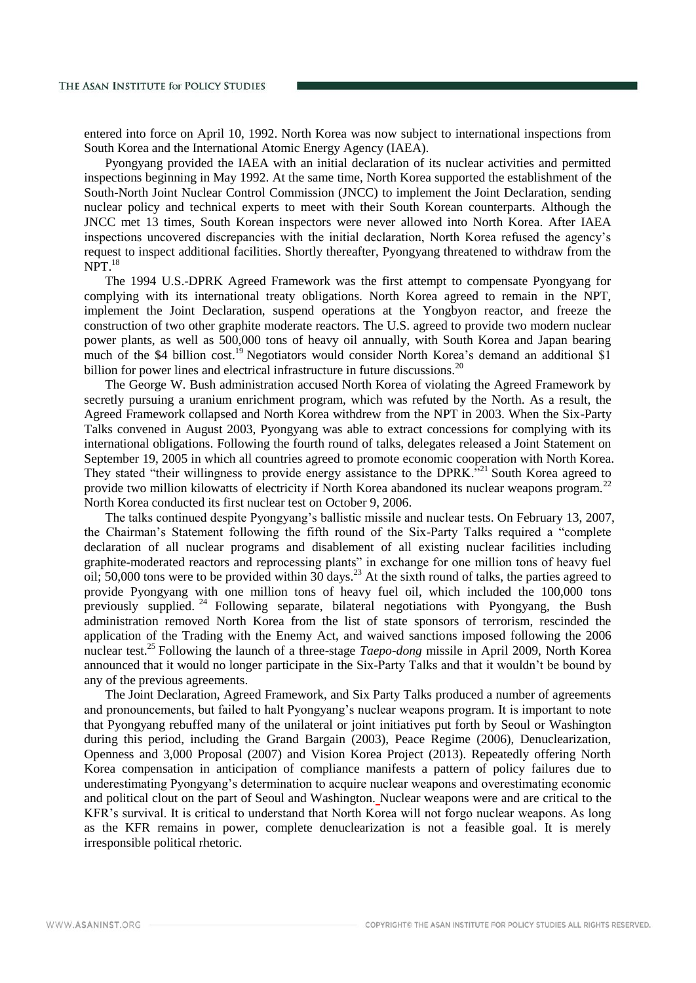entered into force on April 10, 1992. North Korea was now subject to international inspections from South Korea and the International Atomic Energy Agency (IAEA).

Pyongyang provided the IAEA with an initial declaration of its nuclear activities and permitted inspections beginning in May 1992. At the same time, North Korea supported the establishment of the South-North Joint Nuclear Control Commission (JNCC) to implement the Joint Declaration, sending nuclear policy and technical experts to meet with their South Korean counterparts. Although the JNCC met 13 times, South Korean inspectors were never allowed into North Korea. After IAEA inspections uncovered discrepancies with the initial declaration, North Korea refused the agency's request to inspect additional facilities. Shortly thereafter, Pyongyang threatened to withdraw from the  $NPT$ <sup>18</sup>

The 1994 U.S.-DPRK Agreed Framework was the first attempt to compensate Pyongyang for complying with its international treaty obligations. North Korea agreed to remain in the NPT, implement the Joint Declaration, suspend operations at the Yongbyon reactor, and freeze the construction of two other graphite moderate reactors. The U.S. agreed to provide two modern nuclear power plants, as well as 500,000 tons of heavy oil annually, with South Korea and Japan bearing much of the \$4 billion cost.<sup>19</sup> Negotiators would consider North Korea's demand an additional \$1 billion for power lines and electrical infrastructure in future discussions.<sup>20</sup>

The George W. Bush administration accused North Korea of violating the Agreed Framework by secretly pursuing a uranium enrichment program, which was refuted by the North. As a result, the Agreed Framework collapsed and North Korea withdrew from the NPT in 2003. When the Six-Party Talks convened in August 2003, Pyongyang was able to extract concessions for complying with its international obligations. Following the fourth round of talks, delegates released a Joint Statement on September 19, 2005 in which all countries agreed to promote economic cooperation with North Korea. They stated "their willingness to provide energy assistance to the DPRK."<sup>21</sup> South Korea agreed to provide two million kilowatts of electricity if North Korea abandoned its nuclear weapons program.<sup>22</sup> North Korea conducted its first nuclear test on October 9, 2006.

The talks continued despite Pyongyang's ballistic missile and nuclear tests. On February 13, 2007, the Chairman's Statement following the fifth round of the Six-Party Talks required a "complete declaration of all nuclear programs and disablement of all existing nuclear facilities including graphite-moderated reactors and reprocessing plants" in exchange for one million tons of heavy fuel oil; 50,000 tons were to be provided within  $30$  days.<sup>23</sup> At the sixth round of talks, the parties agreed to provide Pyongyang with one million tons of heavy fuel oil, which included the 100,000 tons previously supplied. <sup>24</sup> Following separate, bilateral negotiations with Pyongyang, the Bush administration removed North Korea from the list of state sponsors of terrorism, rescinded the application of the Trading with the Enemy Act, and waived sanctions imposed following the 2006 nuclear test.<sup>25</sup> Following the launch of a three-stage *Taepo-dong* missile in April 2009, North Korea announced that it would no longer participate in the Six-Party Talks and that it wouldn't be bound by any of the previous agreements.

The Joint Declaration, Agreed Framework, and Six Party Talks produced a number of agreements and pronouncements, but failed to halt Pyongyang's nuclear weapons program. It is important to note that Pyongyang rebuffed many of the unilateral or joint initiatives put forth by Seoul or Washington during this period, including the Grand Bargain (2003), Peace Regime (2006), Denuclearization, Openness and 3,000 Proposal (2007) and Vision Korea Project (2013). Repeatedly offering North Korea compensation in anticipation of compliance manifests a pattern of policy failures due to underestimating Pyongyang's determination to acquire nuclear weapons and overestimating economic and political clout on the part of Seoul and Washington. Nuclear weapons were and are critical to the KFR's survival. It is critical to understand that North Korea will not forgo nuclear weapons. As long as the KFR remains in power, complete denuclearization is not a feasible goal. It is merely irresponsible political rhetoric.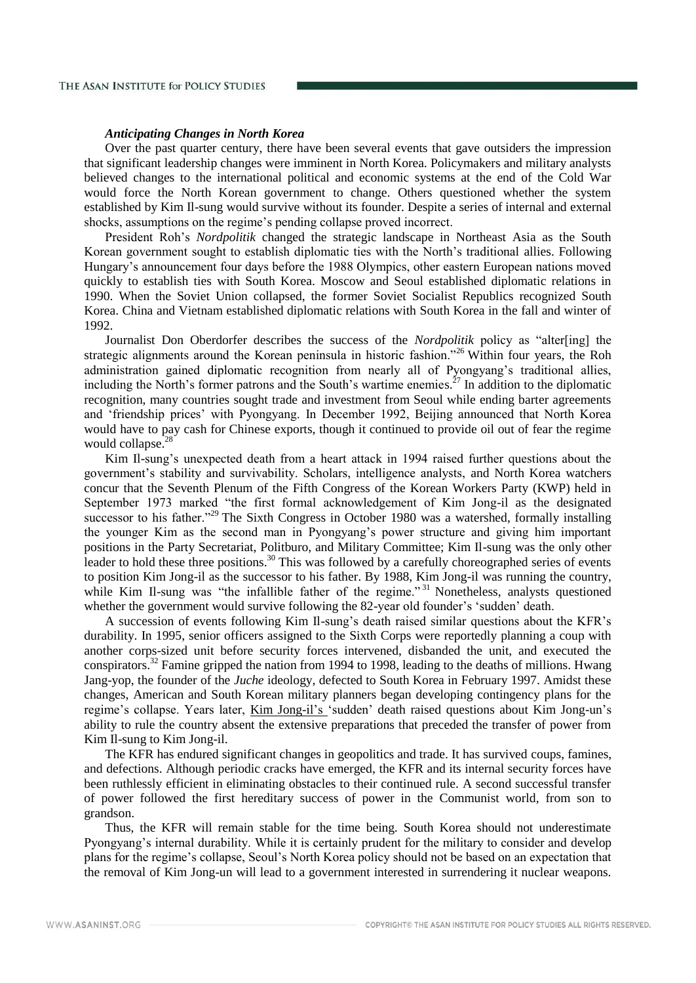## *Anticipating Changes in North Korea*

Over the past quarter century, there have been several events that gave outsiders the impression that significant leadership changes were imminent in North Korea. Policymakers and military analysts believed changes to the international political and economic systems at the end of the Cold War would force the North Korean government to change. Others questioned whether the system established by Kim Il-sung would survive without its founder. Despite a series of internal and external shocks, assumptions on the regime's pending collapse proved incorrect.

President Roh's *Nordpolitik* changed the strategic landscape in Northeast Asia as the South Korean government sought to establish diplomatic ties with the North's traditional allies. Following Hungary's announcement four days before the 1988 Olympics, other eastern European nations moved quickly to establish ties with South Korea. Moscow and Seoul established diplomatic relations in 1990. When the Soviet Union collapsed, the former Soviet Socialist Republics recognized South Korea. China and Vietnam established diplomatic relations with South Korea in the fall and winter of 1992.

Journalist Don Oberdorfer describes the success of the *Nordpolitik* policy as "alter[ing] the strategic alignments around the Korean peninsula in historic fashion."<sup>26</sup> Within four years, the Roh administration gained diplomatic recognition from nearly all of Pyongyang's traditional allies, including the North's former patrons and the South's wartime enemies.<sup>27</sup> In addition to the diplomatic recognition, many countries sought trade and investment from Seoul while ending barter agreements and 'friendship prices' with Pyongyang. In December 1992, Beijing announced that North Korea would have to pay cash for Chinese exports, though it continued to provide oil out of fear the regime would collapse. $28$ 

Kim Il-sung's unexpected death from a heart attack in 1994 raised further questions about the government's stability and survivability. Scholars, intelligence analysts, and North Korea watchers concur that the Seventh Plenum of the Fifth Congress of the Korean Workers Party (KWP) held in September 1973 marked "the first formal acknowledgement of Kim Jong-il as the designated successor to his father."<sup>29</sup> The Sixth Congress in October 1980 was a watershed, formally installing the younger Kim as the second man in Pyongyang's power structure and giving him important positions in the Party Secretariat, Politburo, and Military Committee; Kim Il-sung was the only other leader to hold these three positions.<sup>30</sup> This was followed by a carefully choreographed series of events to position Kim Jong-il as the successor to his father. By 1988, Kim Jong-il was running the country, while Kim Il-sung was "the infallible father of the regime."<sup>31</sup> Nonetheless, analysts questioned whether the government would survive following the 82-year old founder's 'sudden' death.

A succession of events following Kim Il-sung's death raised similar questions about the KFR's durability. In 1995, senior officers assigned to the Sixth Corps were reportedly planning a coup with another corps-sized unit before security forces intervened, disbanded the unit, and executed the conspirators.<sup>32</sup> Famine gripped the nation from 1994 to 1998, leading to the deaths of millions. Hwang Jang-yop, the founder of the *Juche* ideology, defected to South Korea in February 1997. Amidst these changes, American and South Korean military planners began developing contingency plans for the regime's collapse. Years later, Kim Jong-il's 'sudden' death raised questions about Kim Jong-un's ability to rule the country absent the extensive preparations that preceded the transfer of power from Kim Il-sung to Kim Jong-il.

The KFR has endured significant changes in geopolitics and trade. It has survived coups, famines, and defections. Although periodic cracks have emerged, the KFR and its internal security forces have been ruthlessly efficient in eliminating obstacles to their continued rule. A second successful transfer of power followed the first hereditary success of power in the Communist world, from son to grandson.

Thus, the KFR will remain stable for the time being. South Korea should not underestimate Pyongyang's internal durability. While it is certainly prudent for the military to consider and develop plans for the regime's collapse, Seoul's North Korea policy should not be based on an expectation that the removal of Kim Jong-un will lead to a government interested in surrendering it nuclear weapons.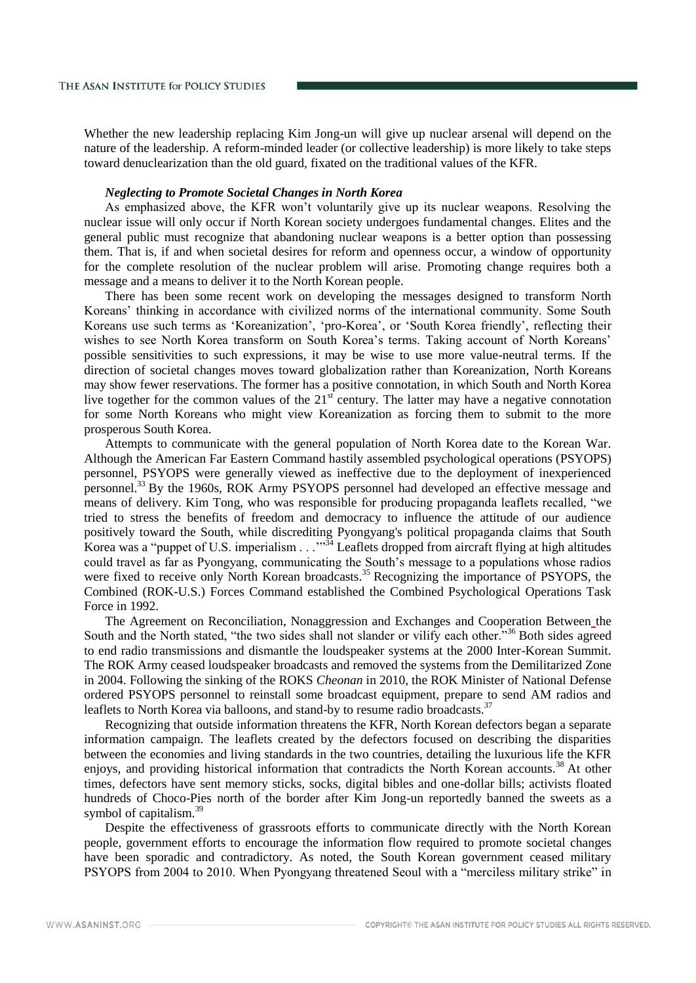Whether the new leadership replacing Kim Jong-un will give up nuclear arsenal will depend on the nature of the leadership. A reform-minded leader (or collective leadership) is more likely to take steps toward denuclearization than the old guard, fixated on the traditional values of the KFR.

## *Neglecting to Promote Societal Changes in North Korea*

As emphasized above, the KFR won't voluntarily give up its nuclear weapons. Resolving the nuclear issue will only occur if North Korean society undergoes fundamental changes. Elites and the general public must recognize that abandoning nuclear weapons is a better option than possessing them. That is, if and when societal desires for reform and openness occur, a window of opportunity for the complete resolution of the nuclear problem will arise. Promoting change requires both a message and a means to deliver it to the North Korean people.

There has been some recent work on developing the messages designed to transform North Koreans' thinking in accordance with civilized norms of the international community. Some South Koreans use such terms as 'Koreanization', 'pro-Korea', or 'South Korea friendly', reflecting their wishes to see North Korea transform on South Korea's terms. Taking account of North Koreans' possible sensitivities to such expressions, it may be wise to use more value-neutral terms. If the direction of societal changes moves toward globalization rather than Koreanization, North Koreans may show fewer reservations. The former has a positive connotation, in which South and North Korea live together for the common values of the  $21<sup>st</sup>$  century. The latter may have a negative connotation for some North Koreans who might view Koreanization as forcing them to submit to the more prosperous South Korea.

Attempts to communicate with the general population of North Korea date to the Korean War. Although the American Far Eastern Command hastily assembled psychological operations (PSYOPS) personnel, PSYOPS were generally viewed as ineffective due to the deployment of inexperienced personnel.<sup>33</sup> By the 1960s, ROK Army PSYOPS personnel had developed an effective message and means of delivery. Kim Tong, who was responsible for producing propaganda leaflets recalled, "we tried to stress the benefits of freedom and democracy to influence the attitude of our audience positively toward the South, while discrediting Pyongyang's political propaganda claims that South Korea was a "puppet of U.S. imperialism . . .<sup>334</sup> Leaflets dropped from aircraft flying at high altitudes could travel as far as Pyongyang, communicating the South's message to a populations whose radios were fixed to receive only North Korean broadcasts.<sup>35</sup> Recognizing the importance of PSYOPS, the Combined (ROK-U.S.) Forces Command established the Combined Psychological Operations Task Force in 1992.

The Agreement on Reconciliation, Nonaggression and Exchanges and Cooperation Between the South and the North stated, "the two sides shall not slander or vilify each other."<sup>36</sup> Both sides agreed to end radio transmissions and dismantle the loudspeaker systems at the 2000 Inter-Korean Summit. The ROK Army ceased loudspeaker broadcasts and removed the systems from the Demilitarized Zone in 2004. Following the sinking of the ROKS *Cheonan* in 2010, the ROK Minister of National Defense ordered PSYOPS personnel to reinstall some broadcast equipment, prepare to send AM radios and leaflets to North Korea via balloons, and stand-by to resume radio broadcasts.<sup>37</sup>

Recognizing that outside information threatens the KFR, North Korean defectors began a separate information campaign. The leaflets created by the defectors focused on describing the disparities between the economies and living standards in the two countries, detailing the luxurious life the KFR enjoys, and providing historical information that contradicts the North Korean accounts.<sup>38</sup> At other times, defectors have sent memory sticks, socks, digital bibles and one-dollar bills; activists floated hundreds of Choco-Pies north of the border after Kim Jong-un reportedly banned the sweets as a symbol of capitalism. $39$ 

Despite the effectiveness of grassroots efforts to communicate directly with the North Korean people, government efforts to encourage the information flow required to promote societal changes have been sporadic and contradictory. As noted, the South Korean government ceased military PSYOPS from 2004 to 2010. When Pyongyang threatened Seoul with a "merciless military strike" in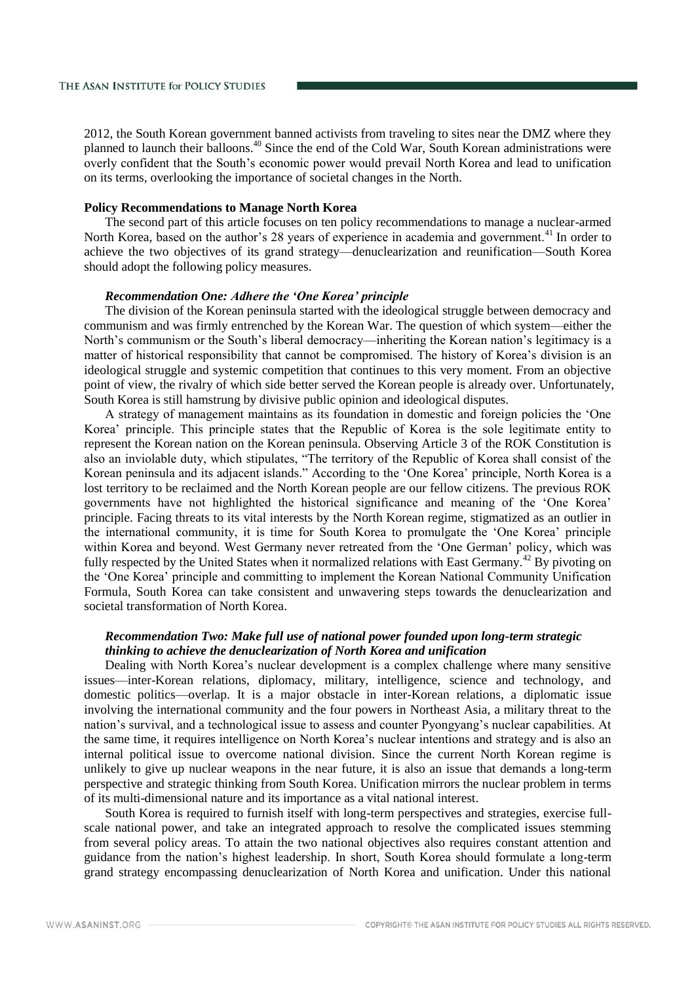2012, the South Korean government banned activists from traveling to sites near the DMZ where they planned to launch their balloons.<sup>40</sup> Since the end of the Cold War, South Korean administrations were overly confident that the South's economic power would prevail North Korea and lead to unification on its terms, overlooking the importance of societal changes in the North.

## **Policy Recommendations to Manage North Korea**

The second part of this article focuses on ten policy recommendations to manage a nuclear-armed North Korea, based on the author's 28 years of experience in academia and government.<sup>41</sup> In order to achieve the two objectives of its grand strategy—denuclearization and reunification—South Korea should adopt the following policy measures.

#### *Recommendation One: Adhere the 'One Korea' principle*

The division of the Korean peninsula started with the ideological struggle between democracy and communism and was firmly entrenched by the Korean War. The question of which system—either the North's communism or the South's liberal democracy—inheriting the Korean nation's legitimacy is a matter of historical responsibility that cannot be compromised. The history of Korea's division is an ideological struggle and systemic competition that continues to this very moment. From an objective point of view, the rivalry of which side better served the Korean people is already over. Unfortunately, South Korea is still hamstrung by divisive public opinion and ideological disputes.

A strategy of management maintains as its foundation in domestic and foreign policies the 'One Korea' principle. This principle states that the Republic of Korea is the sole legitimate entity to represent the Korean nation on the Korean peninsula. Observing Article 3 of the ROK Constitution is also an inviolable duty, which stipulates, "The territory of the Republic of Korea shall consist of the Korean peninsula and its adjacent islands." According to the 'One Korea' principle, North Korea is a lost territory to be reclaimed and the North Korean people are our fellow citizens. The previous ROK governments have not highlighted the historical significance and meaning of the 'One Korea' principle. Facing threats to its vital interests by the North Korean regime, stigmatized as an outlier in the international community, it is time for South Korea to promulgate the 'One Korea' principle within Korea and beyond. West Germany never retreated from the 'One German' policy, which was fully respected by the United States when it normalized relations with East Germany.<sup>42</sup> By pivoting on the 'One Korea' principle and committing to implement the Korean National Community Unification Formula, South Korea can take consistent and unwavering steps towards the denuclearization and societal transformation of North Korea.

# *Recommendation Two: Make full use of national power founded upon long-term strategic thinking to achieve the denuclearization of North Korea and unification*

Dealing with North Korea's nuclear development is a complex challenge where many sensitive issues—inter-Korean relations, diplomacy, military, intelligence, science and technology, and domestic politics—overlap. It is a major obstacle in inter-Korean relations, a diplomatic issue involving the international community and the four powers in Northeast Asia, a military threat to the nation's survival, and a technological issue to assess and counter Pyongyang's nuclear capabilities. At the same time, it requires intelligence on North Korea's nuclear intentions and strategy and is also an internal political issue to overcome national division. Since the current North Korean regime is unlikely to give up nuclear weapons in the near future, it is also an issue that demands a long-term perspective and strategic thinking from South Korea. Unification mirrors the nuclear problem in terms of its multi-dimensional nature and its importance as a vital national interest.

South Korea is required to furnish itself with long-term perspectives and strategies, exercise fullscale national power, and take an integrated approach to resolve the complicated issues stemming from several policy areas. To attain the two national objectives also requires constant attention and guidance from the nation's highest leadership. In short, South Korea should formulate a long-term grand strategy encompassing denuclearization of North Korea and unification. Under this national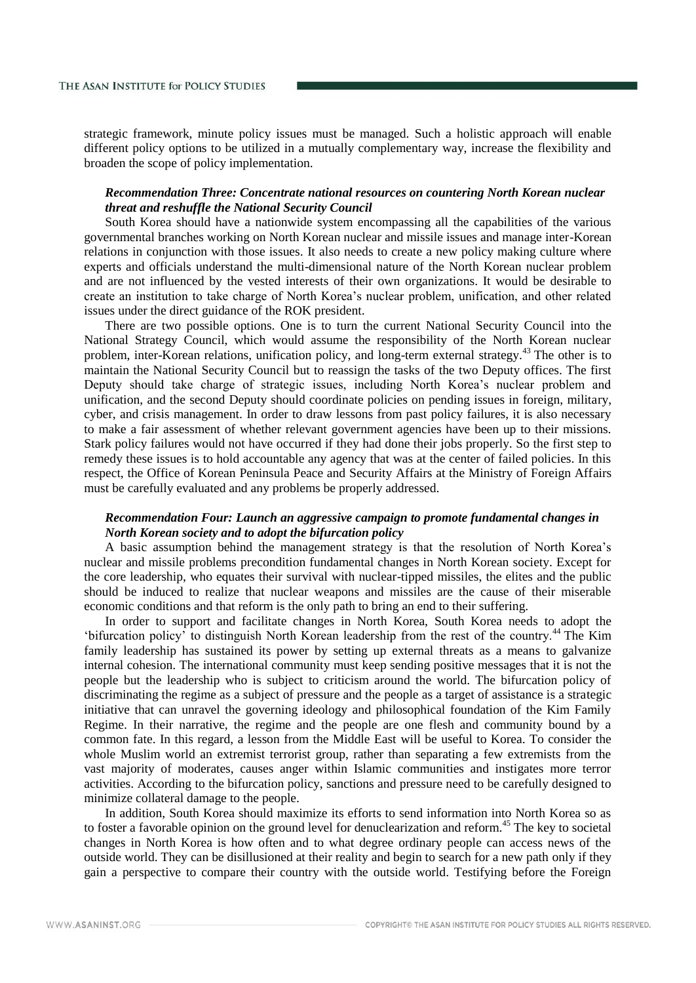strategic framework, minute policy issues must be managed. Such a holistic approach will enable different policy options to be utilized in a mutually complementary way, increase the flexibility and broaden the scope of policy implementation.

# *Recommendation Three: Concentrate national resources on countering North Korean nuclear threat and reshuffle the National Security Council*

South Korea should have a nationwide system encompassing all the capabilities of the various governmental branches working on North Korean nuclear and missile issues and manage inter-Korean relations in conjunction with those issues. It also needs to create a new policy making culture where experts and officials understand the multi-dimensional nature of the North Korean nuclear problem and are not influenced by the vested interests of their own organizations. It would be desirable to create an institution to take charge of North Korea's nuclear problem, unification, and other related issues under the direct guidance of the ROK president.

There are two possible options. One is to turn the current National Security Council into the National Strategy Council, which would assume the responsibility of the North Korean nuclear problem, inter-Korean relations, unification policy, and long-term external strategy.<sup>43</sup> The other is to maintain the National Security Council but to reassign the tasks of the two Deputy offices. The first Deputy should take charge of strategic issues, including North Korea's nuclear problem and unification, and the second Deputy should coordinate policies on pending issues in foreign, military, cyber, and crisis management. In order to draw lessons from past policy failures, it is also necessary to make a fair assessment of whether relevant government agencies have been up to their missions. Stark policy failures would not have occurred if they had done their jobs properly. So the first step to remedy these issues is to hold accountable any agency that was at the center of failed policies. In this respect, the Office of Korean Peninsula Peace and Security Affairs at the Ministry of Foreign Affairs must be carefully evaluated and any problems be properly addressed.

# *Recommendation Four: Launch an aggressive campaign to promote fundamental changes in North Korean society and to adopt the bifurcation policy*

A basic assumption behind the management strategy is that the resolution of North Korea's nuclear and missile problems precondition fundamental changes in North Korean society. Except for the core leadership, who equates their survival with nuclear-tipped missiles, the elites and the public should be induced to realize that nuclear weapons and missiles are the cause of their miserable economic conditions and that reform is the only path to bring an end to their suffering.

In order to support and facilitate changes in North Korea, South Korea needs to adopt the 'bifurcation policy' to distinguish North Korean leadership from the rest of the country.<sup>44</sup> The Kim family leadership has sustained its power by setting up external threats as a means to galvanize internal cohesion. The international community must keep sending positive messages that it is not the people but the leadership who is subject to criticism around the world. The bifurcation policy of discriminating the regime as a subject of pressure and the people as a target of assistance is a strategic initiative that can unravel the governing ideology and philosophical foundation of the Kim Family Regime. In their narrative, the regime and the people are one flesh and community bound by a common fate. In this regard, a lesson from the Middle East will be useful to Korea. To consider the whole Muslim world an extremist terrorist group, rather than separating a few extremists from the vast majority of moderates, causes anger within Islamic communities and instigates more terror activities. According to the bifurcation policy, sanctions and pressure need to be carefully designed to minimize collateral damage to the people.

In addition, South Korea should maximize its efforts to send information into North Korea so as to foster a favorable opinion on the ground level for denuclearization and reform.<sup>45</sup> The key to societal changes in North Korea is how often and to what degree ordinary people can access news of the outside world. They can be disillusioned at their reality and begin to search for a new path only if they gain a perspective to compare their country with the outside world. Testifying before the Foreign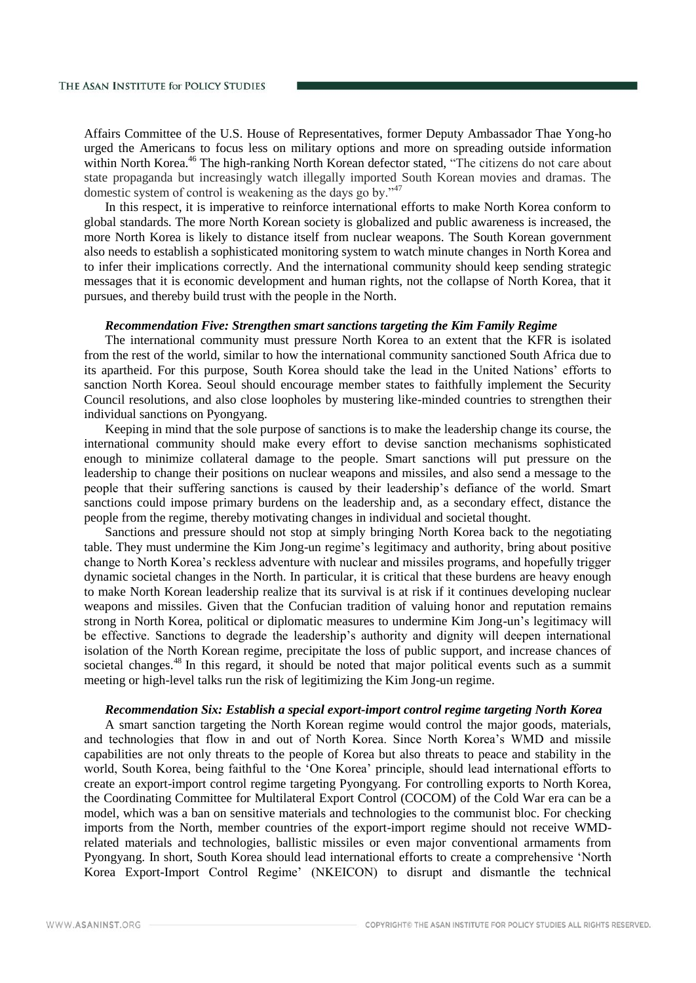Affairs Committee of the U.S. House of Representatives, former Deputy Ambassador Thae Yong-ho urged the Americans to focus less on military options and more on spreading outside information within North Korea.<sup>46</sup> The high-ranking North Korean defector stated, "The citizens do not care about state propaganda but increasingly watch illegally imported South Korean movies and dramas. The domestic system of control is weakening as the days go by."<sup>47</sup>

In this respect, it is imperative to reinforce international efforts to make North Korea conform to global standards. The more North Korean society is globalized and public awareness is increased, the more North Korea is likely to distance itself from nuclear weapons. The South Korean government also needs to establish a sophisticated monitoring system to watch minute changes in North Korea and to infer their implications correctly. And the international community should keep sending strategic messages that it is economic development and human rights, not the collapse of North Korea, that it pursues, and thereby build trust with the people in the North.

## *Recommendation Five: Strengthen smart sanctions targeting the Kim Family Regime*

The international community must pressure North Korea to an extent that the KFR is isolated from the rest of the world, similar to how the international community sanctioned South Africa due to its apartheid. For this purpose, South Korea should take the lead in the United Nations' efforts to sanction North Korea. Seoul should encourage member states to faithfully implement the Security Council resolutions, and also close loopholes by mustering like-minded countries to strengthen their individual sanctions on Pyongyang.

Keeping in mind that the sole purpose of sanctions is to make the leadership change its course, the international community should make every effort to devise sanction mechanisms sophisticated enough to minimize collateral damage to the people. Smart sanctions will put pressure on the leadership to change their positions on nuclear weapons and missiles, and also send a message to the people that their suffering sanctions is caused by their leadership's defiance of the world. Smart sanctions could impose primary burdens on the leadership and, as a secondary effect, distance the people from the regime, thereby motivating changes in individual and societal thought.

Sanctions and pressure should not stop at simply bringing North Korea back to the negotiating table. They must undermine the Kim Jong-un regime's legitimacy and authority, bring about positive change to North Korea's reckless adventure with nuclear and missiles programs, and hopefully trigger dynamic societal changes in the North. In particular, it is critical that these burdens are heavy enough to make North Korean leadership realize that its survival is at risk if it continues developing nuclear weapons and missiles. Given that the Confucian tradition of valuing honor and reputation remains strong in North Korea, political or diplomatic measures to undermine Kim Jong-un's legitimacy will be effective. Sanctions to degrade the leadership's authority and dignity will deepen international isolation of the North Korean regime, precipitate the loss of public support, and increase chances of societal changes.<sup>48</sup> In this regard, it should be noted that major political events such as a summit meeting or high-level talks run the risk of legitimizing the Kim Jong-un regime.

## *Recommendation Six: Establish a special export-import control regime targeting North Korea*

A smart sanction targeting the North Korean regime would control the major goods, materials, and technologies that flow in and out of North Korea. Since North Korea's WMD and missile capabilities are not only threats to the people of Korea but also threats to peace and stability in the world, South Korea, being faithful to the 'One Korea' principle, should lead international efforts to create an export-import control regime targeting Pyongyang. For controlling exports to North Korea, the Coordinating Committee for Multilateral Export Control (COCOM) of the Cold War era can be a model, which was a ban on sensitive materials and technologies to the communist bloc. For checking imports from the North, member countries of the export-import regime should not receive WMDrelated materials and technologies, ballistic missiles or even major conventional armaments from Pyongyang. In short, South Korea should lead international efforts to create a comprehensive 'North Korea Export-Import Control Regime' (NKEICON) to disrupt and dismantle the technical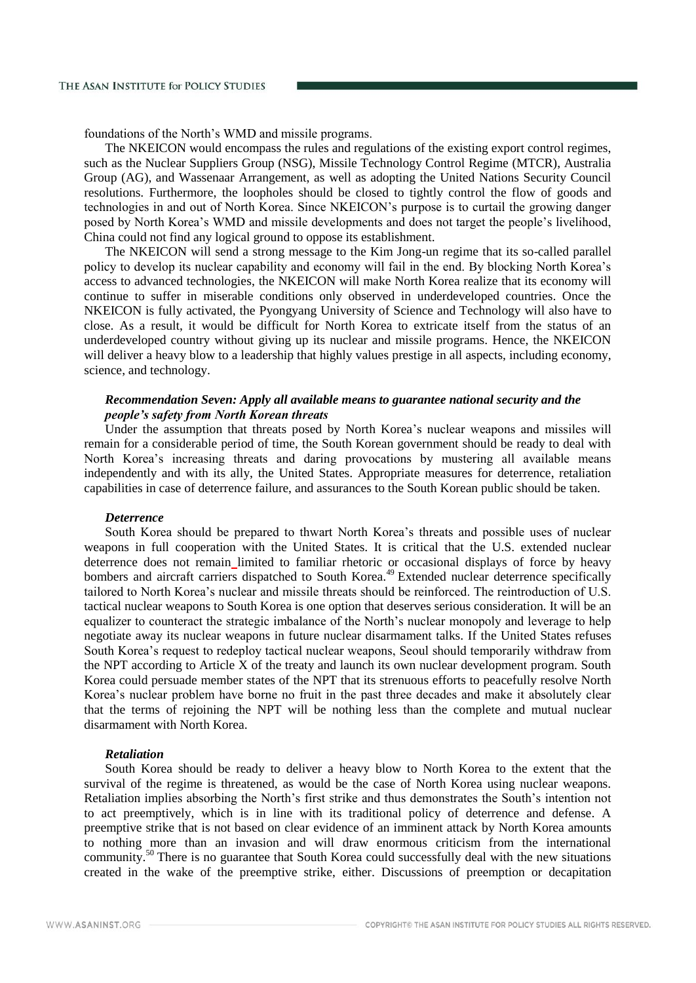foundations of the North's WMD and missile programs.

The NKEICON would encompass the rules and regulations of the existing export control regimes, such as the Nuclear Suppliers Group (NSG), Missile Technology Control Regime (MTCR), Australia Group (AG), and Wassenaar Arrangement, as well as adopting the United Nations Security Council resolutions. Furthermore, the loopholes should be closed to tightly control the flow of goods and technologies in and out of North Korea. Since NKEICON's purpose is to curtail the growing danger posed by North Korea's WMD and missile developments and does not target the people's livelihood, China could not find any logical ground to oppose its establishment.

The NKEICON will send a strong message to the Kim Jong-un regime that its so-called parallel policy to develop its nuclear capability and economy will fail in the end. By blocking North Korea's access to advanced technologies, the NKEICON will make North Korea realize that its economy will continue to suffer in miserable conditions only observed in underdeveloped countries. Once the NKEICON is fully activated, the Pyongyang University of Science and Technology will also have to close. As a result, it would be difficult for North Korea to extricate itself from the status of an underdeveloped country without giving up its nuclear and missile programs. Hence, the NKEICON will deliver a heavy blow to a leadership that highly values prestige in all aspects, including economy, science, and technology.

## *Recommendation Seven: Apply all available means to guarantee national security and the people's safety from North Korean threats*

Under the assumption that threats posed by North Korea's nuclear weapons and missiles will remain for a considerable period of time, the South Korean government should be ready to deal with North Korea's increasing threats and daring provocations by mustering all available means independently and with its ally, the United States. Appropriate measures for deterrence, retaliation capabilities in case of deterrence failure, and assurances to the South Korean public should be taken.

#### *Deterrence*

South Korea should be prepared to thwart North Korea's threats and possible uses of nuclear weapons in full cooperation with the United States. It is critical that the U.S. extended nuclear deterrence does not remain limited to familiar rhetoric or occasional displays of force by heavy bombers and aircraft carriers dispatched to South Korea.<sup>49</sup> Extended nuclear deterrence specifically tailored to North Korea's nuclear and missile threats should be reinforced. The reintroduction of U.S. tactical nuclear weapons to South Korea is one option that deserves serious consideration. It will be an equalizer to counteract the strategic imbalance of the North's nuclear monopoly and leverage to help negotiate away its nuclear weapons in future nuclear disarmament talks. If the United States refuses South Korea's request to redeploy tactical nuclear weapons, Seoul should temporarily withdraw from the NPT according to Article X of the treaty and launch its own nuclear development program. South Korea could persuade member states of the NPT that its strenuous efforts to peacefully resolve North Korea's nuclear problem have borne no fruit in the past three decades and make it absolutely clear that the terms of rejoining the NPT will be nothing less than the complete and mutual nuclear disarmament with North Korea.

#### *Retaliation*

South Korea should be ready to deliver a heavy blow to North Korea to the extent that the survival of the regime is threatened, as would be the case of North Korea using nuclear weapons. Retaliation implies absorbing the North's first strike and thus demonstrates the South's intention not to act preemptively, which is in line with its traditional policy of deterrence and defense. A preemptive strike that is not based on clear evidence of an imminent attack by North Korea amounts to nothing more than an invasion and will draw enormous criticism from the international community.<sup>50</sup> There is no guarantee that South Korea could successfully deal with the new situations created in the wake of the preemptive strike, either. Discussions of preemption or decapitation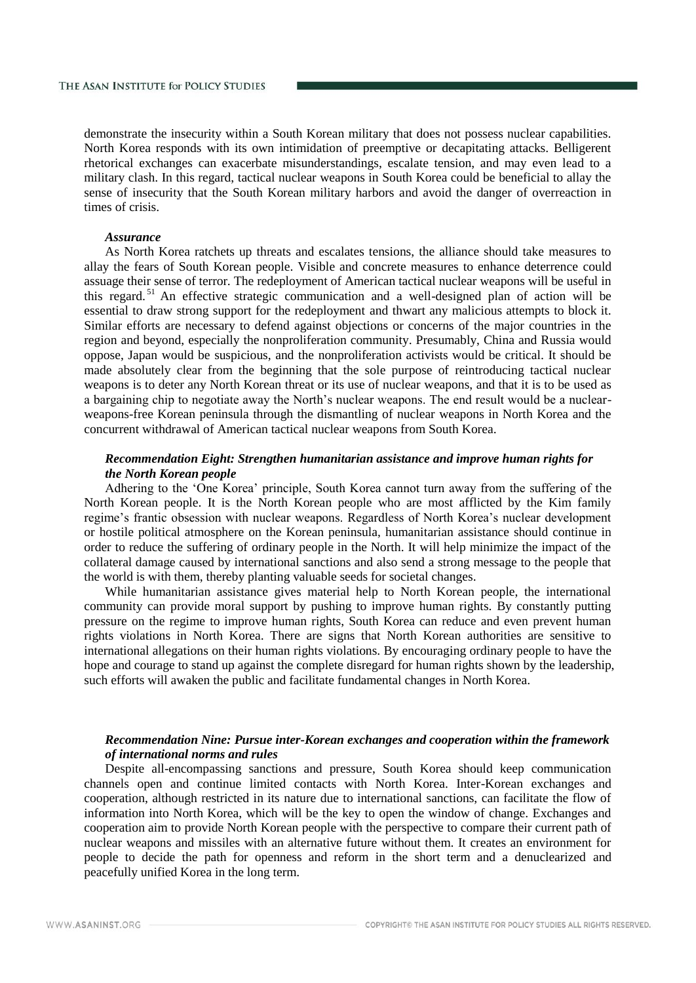demonstrate the insecurity within a South Korean military that does not possess nuclear capabilities. North Korea responds with its own intimidation of preemptive or decapitating attacks. Belligerent rhetorical exchanges can exacerbate misunderstandings, escalate tension, and may even lead to a military clash. In this regard, tactical nuclear weapons in South Korea could be beneficial to allay the sense of insecurity that the South Korean military harbors and avoid the danger of overreaction in times of crisis.

# *Assurance*

As North Korea ratchets up threats and escalates tensions, the alliance should take measures to allay the fears of South Korean people. Visible and concrete measures to enhance deterrence could assuage their sense of terror. The redeployment of American tactical nuclear weapons will be useful in this regard. <sup>51</sup> An effective strategic communication and a well-designed plan of action will be essential to draw strong support for the redeployment and thwart any malicious attempts to block it. Similar efforts are necessary to defend against objections or concerns of the major countries in the region and beyond, especially the nonproliferation community. Presumably, China and Russia would oppose, Japan would be suspicious, and the nonproliferation activists would be critical. It should be made absolutely clear from the beginning that the sole purpose of reintroducing tactical nuclear weapons is to deter any North Korean threat or its use of nuclear weapons, and that it is to be used as a bargaining chip to negotiate away the North's nuclear weapons. The end result would be a nuclearweapons-free Korean peninsula through the dismantling of nuclear weapons in North Korea and the concurrent withdrawal of American tactical nuclear weapons from South Korea.

## *Recommendation Eight: Strengthen humanitarian assistance and improve human rights for the North Korean people*

Adhering to the 'One Korea' principle, South Korea cannot turn away from the suffering of the North Korean people. It is the North Korean people who are most afflicted by the Kim family regime's frantic obsession with nuclear weapons. Regardless of North Korea's nuclear development or hostile political atmosphere on the Korean peninsula, humanitarian assistance should continue in order to reduce the suffering of ordinary people in the North. It will help minimize the impact of the collateral damage caused by international sanctions and also send a strong message to the people that the world is with them, thereby planting valuable seeds for societal changes.

While humanitarian assistance gives material help to North Korean people, the international community can provide moral support by pushing to improve human rights. By constantly putting pressure on the regime to improve human rights, South Korea can reduce and even prevent human rights violations in North Korea. There are signs that North Korean authorities are sensitive to international allegations on their human rights violations. By encouraging ordinary people to have the hope and courage to stand up against the complete disregard for human rights shown by the leadership, such efforts will awaken the public and facilitate fundamental changes in North Korea.

# *Recommendation Nine: Pursue inter-Korean exchanges and cooperation within the framework of international norms and rules*

Despite all-encompassing sanctions and pressure, South Korea should keep communication channels open and continue limited contacts with North Korea. Inter-Korean exchanges and cooperation, although restricted in its nature due to international sanctions, can facilitate the flow of information into North Korea, which will be the key to open the window of change. Exchanges and cooperation aim to provide North Korean people with the perspective to compare their current path of nuclear weapons and missiles with an alternative future without them. It creates an environment for people to decide the path for openness and reform in the short term and a denuclearized and peacefully unified Korea in the long term.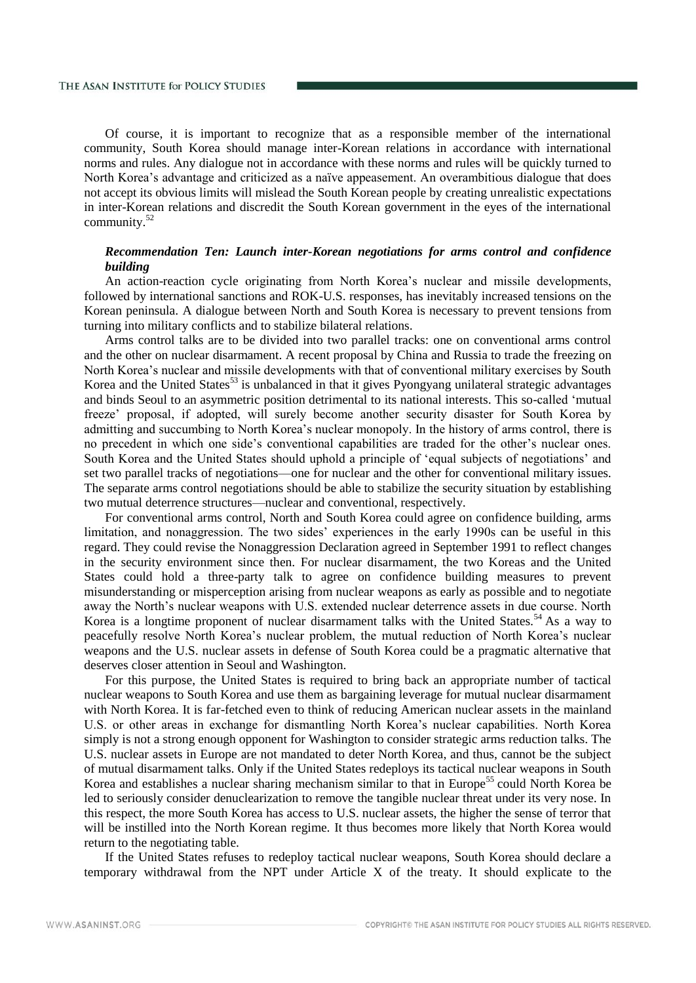Of course, it is important to recognize that as a responsible member of the international community, South Korea should manage inter-Korean relations in accordance with international norms and rules. Any dialogue not in accordance with these norms and rules will be quickly turned to North Korea's advantage and criticized as a naïve appeasement. An overambitious dialogue that does not accept its obvious limits will mislead the South Korean people by creating unrealistic expectations in inter-Korean relations and discredit the South Korean government in the eyes of the international community.<sup>52</sup>

# *Recommendation Ten: Launch inter-Korean negotiations for arms control and confidence building*

An action-reaction cycle originating from North Korea's nuclear and missile developments, followed by international sanctions and ROK-U.S. responses, has inevitably increased tensions on the Korean peninsula. A dialogue between North and South Korea is necessary to prevent tensions from turning into military conflicts and to stabilize bilateral relations.

Arms control talks are to be divided into two parallel tracks: one on conventional arms control and the other on nuclear disarmament. A recent proposal by China and Russia to trade the freezing on North Korea's nuclear and missile developments with that of conventional military exercises by South Korea and the United States<sup>53</sup> is unbalanced in that it gives Pyongyang unilateral strategic advantages and binds Seoul to an asymmetric position detrimental to its national interests. This so-called 'mutual freeze' proposal, if adopted, will surely become another security disaster for South Korea by admitting and succumbing to North Korea's nuclear monopoly. In the history of arms control, there is no precedent in which one side's conventional capabilities are traded for the other's nuclear ones. South Korea and the United States should uphold a principle of 'equal subjects of negotiations' and set two parallel tracks of negotiations—one for nuclear and the other for conventional military issues. The separate arms control negotiations should be able to stabilize the security situation by establishing two mutual deterrence structures—nuclear and conventional, respectively.

For conventional arms control, North and South Korea could agree on confidence building, arms limitation, and nonaggression. The two sides' experiences in the early 1990s can be useful in this regard. They could revise the Nonaggression Declaration agreed in September 1991 to reflect changes in the security environment since then. For nuclear disarmament, the two Koreas and the United States could hold a three-party talk to agree on confidence building measures to prevent misunderstanding or misperception arising from nuclear weapons as early as possible and to negotiate away the North's nuclear weapons with U.S. extended nuclear deterrence assets in due course. North Korea is a longtime proponent of nuclear disarmament talks with the United States.<sup>54</sup> As a way to peacefully resolve North Korea's nuclear problem, the mutual reduction of North Korea's nuclear weapons and the U.S. nuclear assets in defense of South Korea could be a pragmatic alternative that deserves closer attention in Seoul and Washington.

For this purpose, the United States is required to bring back an appropriate number of tactical nuclear weapons to South Korea and use them as bargaining leverage for mutual nuclear disarmament with North Korea. It is far-fetched even to think of reducing American nuclear assets in the mainland U.S. or other areas in exchange for dismantling North Korea's nuclear capabilities. North Korea simply is not a strong enough opponent for Washington to consider strategic arms reduction talks. The U.S. nuclear assets in Europe are not mandated to deter North Korea, and thus, cannot be the subject of mutual disarmament talks. Only if the United States redeploys its tactical nuclear weapons in South Korea and establishes a nuclear sharing mechanism similar to that in Europe<sup>55</sup> could North Korea be led to seriously consider denuclearization to remove the tangible nuclear threat under its very nose. In this respect, the more South Korea has access to U.S. nuclear assets, the higher the sense of terror that will be instilled into the North Korean regime. It thus becomes more likely that North Korea would return to the negotiating table.

If the United States refuses to redeploy tactical nuclear weapons, South Korea should declare a temporary withdrawal from the NPT under Article X of the treaty. It should explicate to the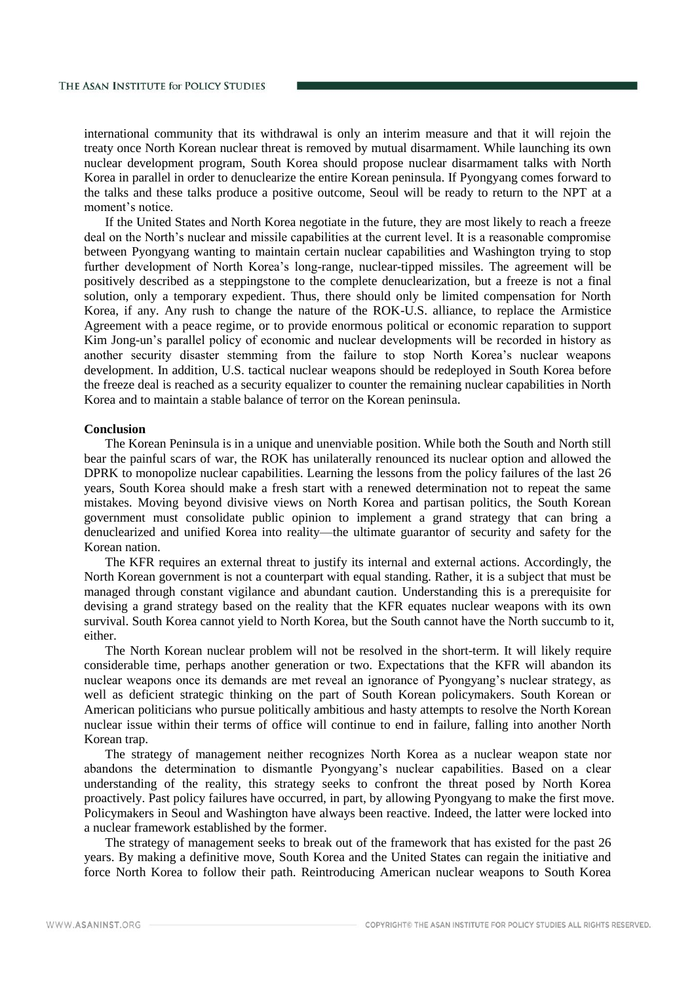international community that its withdrawal is only an interim measure and that it will rejoin the treaty once North Korean nuclear threat is removed by mutual disarmament. While launching its own nuclear development program, South Korea should propose nuclear disarmament talks with North Korea in parallel in order to denuclearize the entire Korean peninsula. If Pyongyang comes forward to the talks and these talks produce a positive outcome, Seoul will be ready to return to the NPT at a moment's notice.

If the United States and North Korea negotiate in the future, they are most likely to reach a freeze deal on the North's nuclear and missile capabilities at the current level. It is a reasonable compromise between Pyongyang wanting to maintain certain nuclear capabilities and Washington trying to stop further development of North Korea's long-range, nuclear-tipped missiles. The agreement will be positively described as a steppingstone to the complete denuclearization, but a freeze is not a final solution, only a temporary expedient. Thus, there should only be limited compensation for North Korea, if any. Any rush to change the nature of the ROK-U.S. alliance, to replace the Armistice Agreement with a peace regime, or to provide enormous political or economic reparation to support Kim Jong-un's parallel policy of economic and nuclear developments will be recorded in history as another security disaster stemming from the failure to stop North Korea's nuclear weapons development. In addition, U.S. tactical nuclear weapons should be redeployed in South Korea before the freeze deal is reached as a security equalizer to counter the remaining nuclear capabilities in North Korea and to maintain a stable balance of terror on the Korean peninsula.

## **Conclusion**

The Korean Peninsula is in a unique and unenviable position. While both the South and North still bear the painful scars of war, the ROK has unilaterally renounced its nuclear option and allowed the DPRK to monopolize nuclear capabilities. Learning the lessons from the policy failures of the last 26 years, South Korea should make a fresh start with a renewed determination not to repeat the same mistakes. Moving beyond divisive views on North Korea and partisan politics, the South Korean government must consolidate public opinion to implement a grand strategy that can bring a denuclearized and unified Korea into reality—the ultimate guarantor of security and safety for the Korean nation.

The KFR requires an external threat to justify its internal and external actions. Accordingly, the North Korean government is not a counterpart with equal standing. Rather, it is a subject that must be managed through constant vigilance and abundant caution. Understanding this is a prerequisite for devising a grand strategy based on the reality that the KFR equates nuclear weapons with its own survival. South Korea cannot yield to North Korea, but the South cannot have the North succumb to it, either.

The North Korean nuclear problem will not be resolved in the short-term. It will likely require considerable time, perhaps another generation or two. Expectations that the KFR will abandon its nuclear weapons once its demands are met reveal an ignorance of Pyongyang's nuclear strategy, as well as deficient strategic thinking on the part of South Korean policymakers. South Korean or American politicians who pursue politically ambitious and hasty attempts to resolve the North Korean nuclear issue within their terms of office will continue to end in failure, falling into another North Korean trap.

The strategy of management neither recognizes North Korea as a nuclear weapon state nor abandons the determination to dismantle Pyongyang's nuclear capabilities. Based on a clear understanding of the reality, this strategy seeks to confront the threat posed by North Korea proactively. Past policy failures have occurred, in part, by allowing Pyongyang to make the first move. Policymakers in Seoul and Washington have always been reactive. Indeed, the latter were locked into a nuclear framework established by the former.

The strategy of management seeks to break out of the framework that has existed for the past 26 years. By making a definitive move, South Korea and the United States can regain the initiative and force North Korea to follow their path. Reintroducing American nuclear weapons to South Korea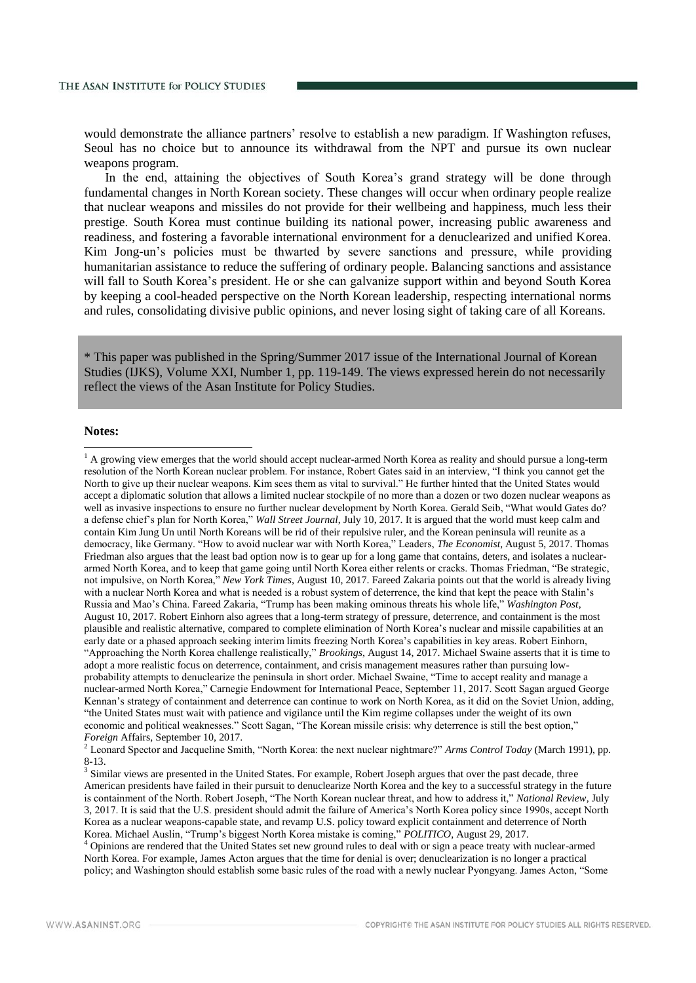would demonstrate the alliance partners' resolve to establish a new paradigm. If Washington refuses, Seoul has no choice but to announce its withdrawal from the NPT and pursue its own nuclear weapons program.

In the end, attaining the objectives of South Korea's grand strategy will be done through fundamental changes in North Korean society. These changes will occur when ordinary people realize that nuclear weapons and missiles do not provide for their wellbeing and happiness, much less their prestige. South Korea must continue building its national power, increasing public awareness and readiness, and fostering a favorable international environment for a denuclearized and unified Korea. Kim Jong-un's policies must be thwarted by severe sanctions and pressure, while providing humanitarian assistance to reduce the suffering of ordinary people. Balancing sanctions and assistance will fall to South Korea's president. He or she can galvanize support within and beyond South Korea by keeping a cool-headed perspective on the North Korean leadership, respecting international norms and rules, consolidating divisive public opinions, and never losing sight of taking care of all Koreans.

\* This paper was published in the Spring/Summer 2017 issue of the International Journal of Korean Studies (IJKS), Volume XXI, Number 1, pp. 119-149. The views expressed herein do not necessarily reflect the views of the Asan Institute for Policy Studies.

## **Notes:**

-

<sup>2</sup> Leonard Spector and Jacqueline Smith, "North Korea: the next nuclear nightmare?" *Arms Control Today* (March 1991), pp. 8-13.

<sup>3</sup> Similar views are presented in the United States. For example, Robert Joseph argues that over the past decade, three American presidents have failed in their pursuit to denuclearize North Korea and the key to a successful strategy in the future is containment of the North. Robert Joseph, "The North Korean nuclear threat, and how to address it," *National Review*, July 3, 2017. It is said that the U.S. president should admit the failure of America's North Korea policy since 1990s, accept North Korea as a nuclear weapons-capable state, and revamp U.S. policy toward explicit containment and deterrence of North Korea. Michael Auslin, "Trump's biggest North Korea mistake is coming," *POLITICO*, August 29, 2017.

<sup>4</sup> Opinions are rendered that the United States set new ground rules to deal with or sign a peace treaty with nuclear-armed North Korea. For example, James Acton argues that the time for denial is over; denuclearization is no longer a practical policy; and Washington should establish some basic rules of the road with a newly nuclear Pyongyang. James Acton, "Some

 $<sup>1</sup>$  A growing view emerges that the world should accept nuclear-armed North Korea as reality and should pursue a long-term</sup> resolution of the North Korean nuclear problem. For instance, Robert Gates said in an interview, "I think you cannot get the North to give up their nuclear weapons. Kim sees them as vital to survival." He further hinted that the United States would accept a diplomatic solution that allows a limited nuclear stockpile of no more than a dozen or two dozen nuclear weapons as well as invasive inspections to ensure no further nuclear development by North Korea. Gerald Seib, "What would Gates do? a defense chief's plan for North Korea," *Wall Street Journal*, July 10, 2017. It is argued that the world must keep calm and contain Kim Jung Un until North Koreans will be rid of their repulsive ruler, and the Korean peninsula will reunite as a democracy, like Germany. "How to avoid nuclear war with North Korea," Leaders, *The Economist*, August 5, 2017. Thomas Friedman also argues that the least bad option now is to gear up for a long game that contains, deters, and isolates a nucleararmed North Korea, and to keep that game going until North Korea either relents or cracks. Thomas Friedman, "Be strategic, not impulsive, on North Korea," *New York Times*, August 10, 2017. Fareed Zakaria points out that the world is already living with a nuclear North Korea and what is needed is a robust system of deterrence, the kind that kept the peace with Stalin's Russia and Mao's China. Fareed Zakaria, "Trump has been making ominous threats his whole life," *Washington Post*, August 10, 2017. Robert Einhorn also agrees that a long-term strategy of pressure, deterrence, and containment is the most plausible and realistic alternative, compared to complete elimination of North Korea's nuclear and missile capabilities at an early date or a phased approach seeking interim limits freezing North Korea's capabilities in key areas. Robert Einhorn, "Approaching the North Korea challenge realistically," *Brookings*, August 14, 2017. Michael Swaine asserts that it is time to adopt a more realistic focus on deterrence, containment, and crisis management measures rather than pursuing lowprobability attempts to denuclearize the peninsula in short order. Michael Swaine, "Time to accept reality and manage a nuclear-armed North Korea," Carnegie Endowment for International Peace, September 11, 2017. Scott Sagan argued George Kennan's strategy of containment and deterrence can continue to work on North Korea, as it did on the Soviet Union, adding, "the United States must wait with patience and vigilance until the Kim regime collapses under the weight of its own economic and political weaknesses." Scott Sagan, "The Korean missile crisis: why deterrence is still the best option," *Foreign* Affairs, September 10, 2017.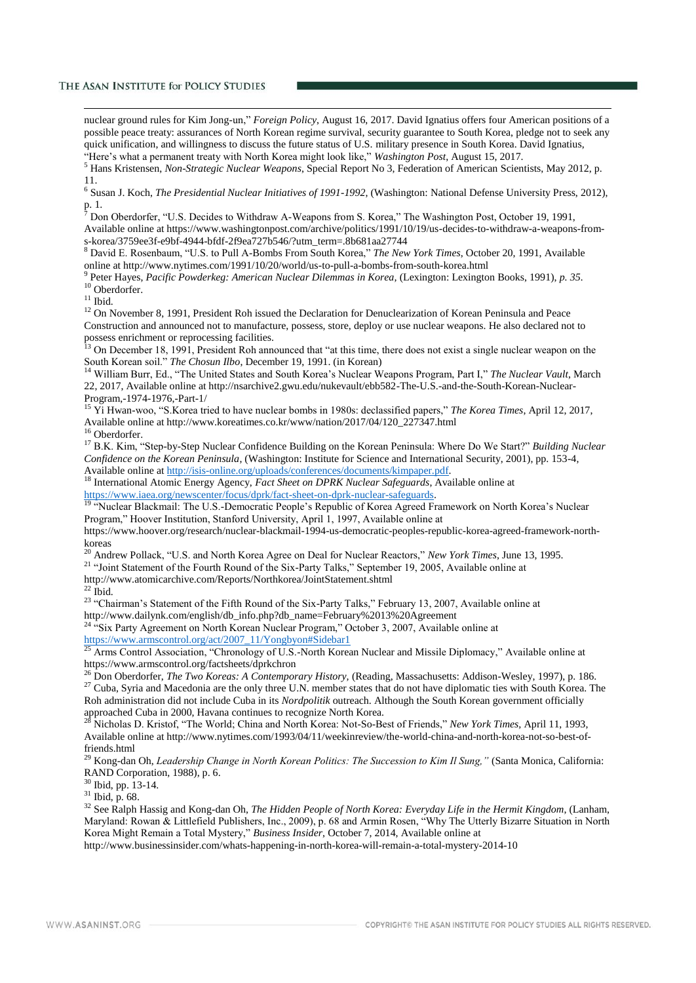nuclear ground rules for Kim Jong-un," *Foreign Policy*, August 16, 2017. David Ignatius offers four American positions of a possible peace treaty: assurances of North Korean regime survival, security guarantee to South Korea, pledge not to seek any quick unification, and willingness to discuss the future status of U.S. military presence in South Korea. David Ignatius, "Here's what a permanent treaty with North Korea might look like," *Washington Post*, August 15, 2017.

<sup>5</sup> Hans Kristensen, *Non-Strategic Nuclear Weapons*, Special Report No 3, Federation of American Scientists, May 2012, p. 11.

6 Susan J. Koch, *The Presidential Nuclear Initiatives of 1991-1992*, (Washington: National Defense University Press, 2012), p. 1.

<sup>7</sup> Don Oberdorfer, "U.S. Decides to Withdraw A-Weapons from S. Korea," The Washington Post, October 19, 1991, Available online at https://www.washingtonpost.com/archive/politics/1991/10/19/us-decides-to-withdraw-a-weapons-froms-korea/3759ee3f-e9bf-4944-bfdf-2f9ea727b546/?utm\_term=.8b681aa27744

<sup>8</sup> David E. Rosenbaum, "U.S. to Pull A-Bombs From South Korea," *The New York Times*, October 20, 1991, Available online at http://www.nytimes.com/1991/10/20/world/us-to-pull-a-bombs-from-south-korea.html

9 Peter Hayes, *Pacific Powderkeg: American Nuclear Dilemmas in Korea,* (Lexington: Lexington Books, 1991), *p. 35.* <sup>10</sup> Oberdorfer.

 $^{11}$ Ibid.

-

<sup>12</sup> On November 8, 1991, President Roh issued the Declaration for Denuclearization of Korean Peninsula and Peace Construction and announced not to manufacture, possess, store, deploy or use nuclear weapons. He also declared not to possess enrichment or reprocessing facilities.

 $13$  On December 18, 1991, President Roh announced that "at this time, there does not exist a single nuclear weapon on the South Korean soil." *The Chosun Ilbo*, December 19, 1991. (in Korean)

<sup>14</sup> William Burr, Ed., "The United States and South Korea's Nuclear Weapons Program, Part I," *The Nuclear Vault*, March 22, 2017, Available online at http://nsarchive2.gwu.edu/nukevault/ebb582-The-U.S.-and-the-South-Korean-Nuclear-Program,-1974-1976,-Part-1/

<sup>15</sup> Yi Hwan-woo, "S.Korea tried to have nuclear bombs in 1980s: declassified papers," *The Korea Times*, April 12, 2017, Available online at http://www.koreatimes.co.kr/www/nation/2017/04/120\_227347.html <sup>16</sup> Oberdorfer.

<sup>17</sup> B.K. Kim, "Step-by-Step Nuclear Confidence Building on the Korean Peninsula: Where Do We Start?" *Building Nuclear Confidence on the Korean Peninsula*, (Washington: Institute for Science and International Security, 2001), pp. 153-4, Available online a[t http://isis-online.org/uploads/conferences/documents/kimpaper.pdf.](http://isis-online.org/uploads/conferences/documents/kimpaper.pdf)

<sup>18</sup> International Atomic Energy Agency, *Fact Sheet on DPRK Nuclear Safeguards*, Available online at [https://www.iaea.org/newscenter/focus/dprk/fact-sheet-on-dprk-nuclear-safeguards.](https://www.iaea.org/newscenter/focus/dprk/fact-sheet-on-dprk-nuclear-safeguards) 

<sup>19</sup> "Nuclear Blackmail: The U.S.-Democratic People's Republic of Korea Agreed Framework on North Korea's Nuclear Program," Hoover Institution, Stanford University, April 1, 1997, Available online at

https://www.hoover.org/research/nuclear-blackmail-1994-us-democratic-peoples-republic-korea-agreed-framework-northkoreas

<sup>20</sup> Andrew Pollack, "U.S. and North Korea Agree on Deal for Nuclear Reactors," *New York Times*, June 13, 1995.

<sup>21</sup> "Joint Statement of the Fourth Round of the Six-Party Talks," September 19, 2005, Available online at

http://www.atomicarchive.com/Reports/Northkorea/JointStatement.shtml

 $22$  Ibid.

<sup>23</sup> "Chairman's Statement of the Fifth Round of the Six-Party Talks," February 13, 2007, Available online at http://www.dailynk.com/english/db\_info.php?db\_name=February%2013%20Agreement

<sup>24 "</sup>Six Party Agreement on North Korean Nuclear Program," October 3, 2007, Available online at [https://www.armscontrol.org/act/2007\\_11/Yongbyon#Sidebar1](https://www.armscontrol.org/act/2007_11/Yongbyon#Sidebar1) 

<sup>25</sup> Arms Control Association, "Chronology of U.S.-North Korean Nuclear and Missile Diplomacy," Available online at https://www.armscontrol.org/factsheets/dprkchron

<sup>26</sup> Don Oberdorfer, *The Two Koreas: A Contemporary History,* (Reading, Massachusetts: Addison-Wesley, 1997), p. 186.

<sup>27</sup> Cuba, Syria and Macedonia are the only three U.N. member states that do not have diplomatic ties with South Korea. The Roh administration did not include Cuba in its *Nordpolitik* outreach. Although the South Korean government officially approached Cuba in 2000, Havana continues to recognize North Korea.<br><sup>28</sup> Nichalas D. *V.* (2007). The continues to recognize North Korea.

<sup>28</sup> Nicholas D. Kristof, "The World; China and North Korea: Not-So-Best of Friends," *New York Times,* April 11, 1993, Available online at http://www.nytimes.com/1993/04/11/weekinreview/the-world-china-and-north-korea-not-so-best-offriends.html

<sup>29</sup> Kong-dan Oh, *Leadership Change in North Korean Politics: The Succession to Kim Il Sung,"* (Santa Monica, California: RAND Corporation, 1988), p. 6.

<sup>30</sup> Ibid, pp. 13-14.

<sup>31</sup> Ibid, p. 68.

<sup>32</sup> See Ralph Hassig and Kong-dan Oh, *The Hidden People of North Korea: Everyday Life in the Hermit Kingdom*, (Lanham, Maryland: Rowan & Littlefield Publishers, Inc., 2009), p. 68 and Armin Rosen, "Why The Utterly Bizarre Situation in North Korea Might Remain a Total Mystery," *Business Insider*, October 7, 2014, Available online at

http://www.businessinsider.com/whats-happening-in-north-korea-will-remain-a-total-mystery-2014-10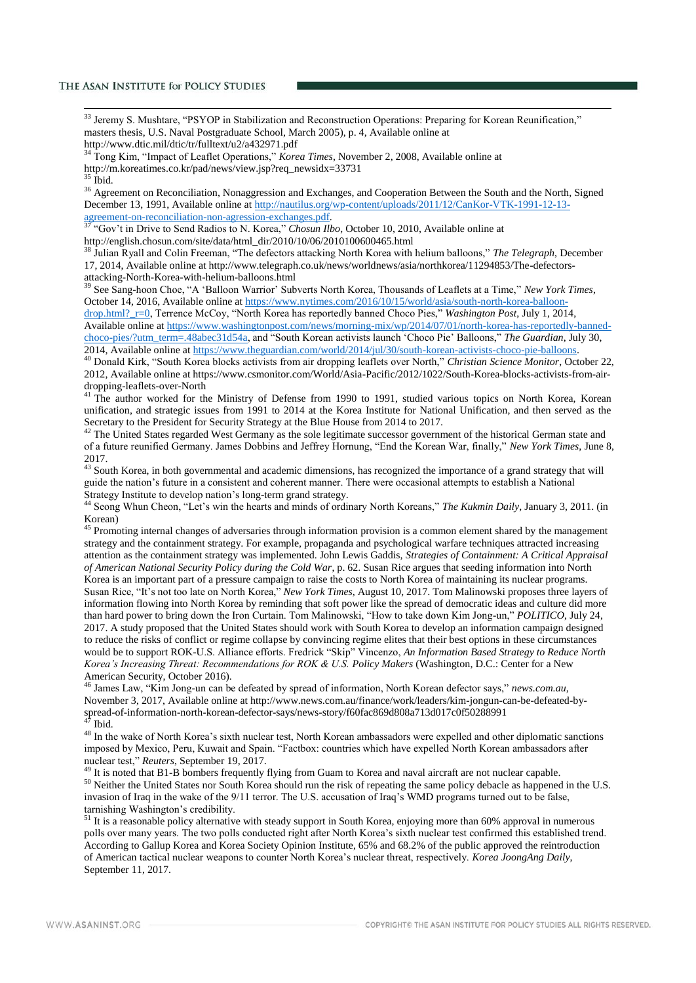<sup>33</sup> Jeremy S. Mushtare, "PSYOP in Stabilization and Reconstruction Operations: Preparing for Korean Reunification," masters thesis, U.S. Naval Postgraduate School, March 2005), p. 4, Available online at http://www.dtic.mil/dtic/tr/fulltext/u2/a432971.pdf

<sup>34</sup> Tong Kim, "Impact of Leaflet Operations," *Korea Times*, November 2, 2008, Available online at http://m.koreatimes.co.kr/pad/news/view.jsp?req\_newsidx=33731

 $35$  Ibid.

-

<sup>36</sup> Agreement on Reconciliation, Nonaggression and Exchanges, and Cooperation Between the South and the North, Signed December 13, 1991, Available online at [http://nautilus.org/wp-content/uploads/2011/12/CanKor-VTK-1991-12-13](http://nautilus.org/wp-content/uploads/2011/12/CanKor-VTK-1991-12-13-agreement-on-reconciliation-non-agression-exchanges.pdf) [agreement-on-reconciliation-non-agression-exchanges.pdf.](http://nautilus.org/wp-content/uploads/2011/12/CanKor-VTK-1991-12-13-agreement-on-reconciliation-non-agression-exchanges.pdf)

<sup>37</sup> "Gov't in Drive to Send Radios to N. Korea," *Chosun Ilbo*, October 10, 2010, Available online at http://english.chosun.com/site/data/html\_dir/2010/10/06/2010100600465.html

<sup>38</sup> Julian Ryall and Colin Freeman, "The defectors attacking North Korea with helium balloons," *The Telegraph*, December 17, 2014, Available online at http://www.telegraph.co.uk/news/worldnews/asia/northkorea/11294853/The-defectorsattacking-North-Korea-with-helium-balloons.html

<sup>39</sup> See Sang-hoon Choe, "A 'Balloon Warrior' Subverts North Korea, Thousands of Leaflets at a Time," *New York Times*, October 14, 2016, Available online at [https://www.nytimes.com/2016/10/15/world/asia/south-north-korea-balloon-](https://www.nytimes.com/2016/10/15/world/asia/south-north-korea-balloon-drop.html?_r=0)

[drop.html?\\_r=0,](https://www.nytimes.com/2016/10/15/world/asia/south-north-korea-balloon-drop.html?_r=0) Terrence McCoy, "North Korea has reportedly banned Choco Pies," *Washington Post*, July 1, 2014, Available online a[t https://www.washingtonpost.com/news/morning-mix/wp/2014/07/01/north-korea-has-reportedly-banned](https://www.washingtonpost.com/news/morning-mix/wp/2014/07/01/north-korea-has-reportedly-banned-choco-pies/?utm_term=.48abec31d54a)[choco-pies/?utm\\_term=.48abec31d54a,](https://www.washingtonpost.com/news/morning-mix/wp/2014/07/01/north-korea-has-reportedly-banned-choco-pies/?utm_term=.48abec31d54a) and "South Korean activists launch 'Choco Pie' Balloons," *The Guardian*, July 30,

2014, Available online at [https://www.theguardian.com/world/2014/jul/30/south-korean-activists-choco-pie-balloons.](https://www.theguardian.com/world/2014/jul/30/south-korean-activists-choco-pie-balloons)

<sup>40</sup> Donald Kirk, "South Korea blocks activists from air dropping leaflets over North," *Christian Science Monitor*, October 22, 2012, Available online at https://www.csmonitor.com/World/Asia-Pacific/2012/1022/South-Korea-blocks-activists-from-airdropping-leaflets-over-North

<sup>41</sup> The author worked for the Ministry of Defense from 1990 to 1991, studied various topics on North Korea, Korean unification, and strategic issues from 1991 to 2014 at the Korea Institute for National Unification, and then served as the Secretary to the President for Security Strategy at the Blue House from 2014 to 2017.

<sup>42</sup> The United States regarded West Germany as the sole legitimate successor government of the historical German state and of a future reunified Germany. James Dobbins and Jeffrey Hornung, "End the Korean War, finally," *New York Times*, June 8, 2017.

<sup>43</sup> South Korea, in both governmental and academic dimensions, has recognized the importance of a grand strategy that will guide the nation's future in a consistent and coherent manner. There were occasional attempts to establish a National Strategy Institute to develop nation's long-term grand strategy.

<sup>44</sup> Seong Whun Cheon, "Let's win the hearts and minds of ordinary North Koreans," *The Kukmin Daily*, January 3, 2011. (in Korean)

<sup>45</sup> Promoting internal changes of adversaries through information provision is a common element shared by the management strategy and the containment strategy. For example, propaganda and psychological warfare techniques attracted increasing attention as the containment strategy was implemented. John Lewis Gaddis, *Strategies of Containment: A Critical Appraisal of American National Security Policy during the Cold War*, p. 62. Susan Rice argues that seeding information into North Korea is an important part of a pressure campaign to raise the costs to North Korea of maintaining its nuclear programs. Susan Rice, "It's not too late on North Korea," *New York Times*, August 10, 2017. Tom Malinowski proposes three layers of information flowing into North Korea by reminding that soft power like the spread of democratic ideas and culture did more than hard power to bring down the Iron Curtain. Tom Malinowski, "How to take down Kim Jong-un," *POLITICO*, July 24, 2017. A study proposed that the United States should work with South Korea to develop an information campaign designed to reduce the risks of conflict or regime collapse by convincing regime elites that their best options in these circumstances would be to support ROK-U.S. Alliance efforts. Fredrick "Skip" Vincenzo, *An Information Based Strategy to Reduce North Korea's Increasing Threat: Recommendations for ROK & U.S. Policy Makers* (Washington, D.C.: Center for a New American Security, October 2016).

<sup>46</sup> James Law, "Kim Jong-un can be defeated by spread of information, North Korean defector says," *news.com.au*, November 3, 2017, Available online at http://www.news.com.au/finance/work/leaders/kim-jongun-can-be-defeated-byspread-of-information-north-korean-defector-says/news-story/f60fac869d808a713d017c0f50288991 Ibid.

<sup>48</sup> In the wake of North Korea's sixth nuclear test, North Korean ambassadors were expelled and other diplomatic sanctions imposed by Mexico, Peru, Kuwait and Spain. "Factbox: countries which have expelled North Korean ambassadors after nuclear test," *Reuters*, September 19, 2017.

<sup>49</sup> It is noted that B1-B bombers frequently flying from Guam to Korea and naval aircraft are not nuclear capable. <sup>50</sup> Neither the United States nor South Korea should run the risk of repeating the same policy debacle as happened in the U.S. invasion of Iraq in the wake of the 9/11 terror. The U.S. accusation of Iraq's WMD programs turned out to be false, tarnishing Washington's credibility.

<sup>51</sup> It is a reasonable policy alternative with steady support in South Korea, enjoying more than 60% approval in numerous polls over many years. The two polls conducted right after North Korea's sixth nuclear test confirmed this established trend. According to Gallup Korea and Korea Society Opinion Institute, 65% and 68.2% of the public approved the reintroduction of American tactical nuclear weapons to counter North Korea's nuclear threat, respectively. *Korea JoongAng Daily*, September 11, 2017.